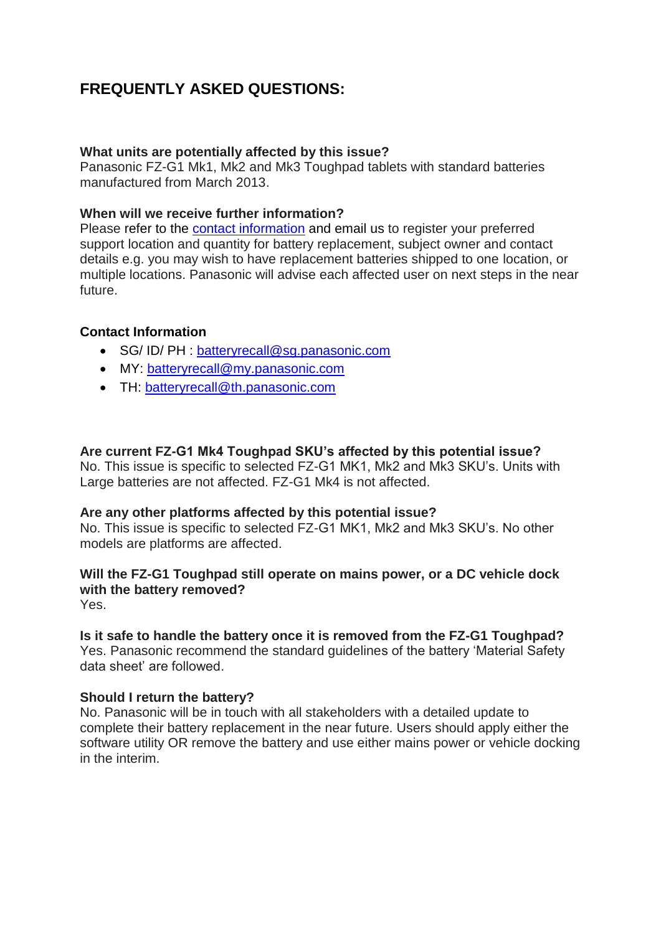# **FREQUENTLY ASKED QUESTIONS:**

# **What units are potentially affected by this issue?**

Panasonic FZ-G1 Mk1, Mk2 and Mk3 Toughpad tablets with standard batteries manufactured from March 2013.

### **When will we receive further information?**

Please refer to the [contact information](#page-0-0) and email us to register your preferred support location and quantity for battery replacement, subject owner and contact details e.g. you may wish to have replacement batteries shipped to one location, or multiple locations. Panasonic will advise each affected user on next steps in the near future.

### <span id="page-0-0"></span>**Contact Information**

- SG/ ID/ PH : batteryrecall@sq.panasonic.com
- MY: [batteryrecall@my.panasonic.com](mailto:batteryrecall@my.panasonic.com)
- TH: [batteryrecall@th.panasonic.com](mailto:batteryrecall@th.panasonic.com)

### **Are current FZ-G1 Mk4 Toughpad SKU's affected by this potential issue?**

No. This issue is specific to selected FZ-G1 MK1, Mk2 and Mk3 SKU"s. Units with Large batteries are not affected. FZ-G1 Mk4 is not affected.

#### **Are any other platforms affected by this potential issue?**

No. This issue is specific to selected FZ-G1 MK1, Mk2 and Mk3 SKU"s. No other models are platforms are affected.

# **Will the FZ-G1 Toughpad still operate on mains power, or a DC vehicle dock with the battery removed?**

Yes.

# **Is it safe to handle the battery once it is removed from the FZ-G1 Toughpad?**

Yes. Panasonic recommend the standard guidelines of the battery "Material Safety data sheet" are followed.

#### **Should I return the battery?**

No. Panasonic will be in touch with all stakeholders with a detailed update to complete their battery replacement in the near future. Users should apply either the software utility OR remove the battery and use either mains power or vehicle docking in the interim.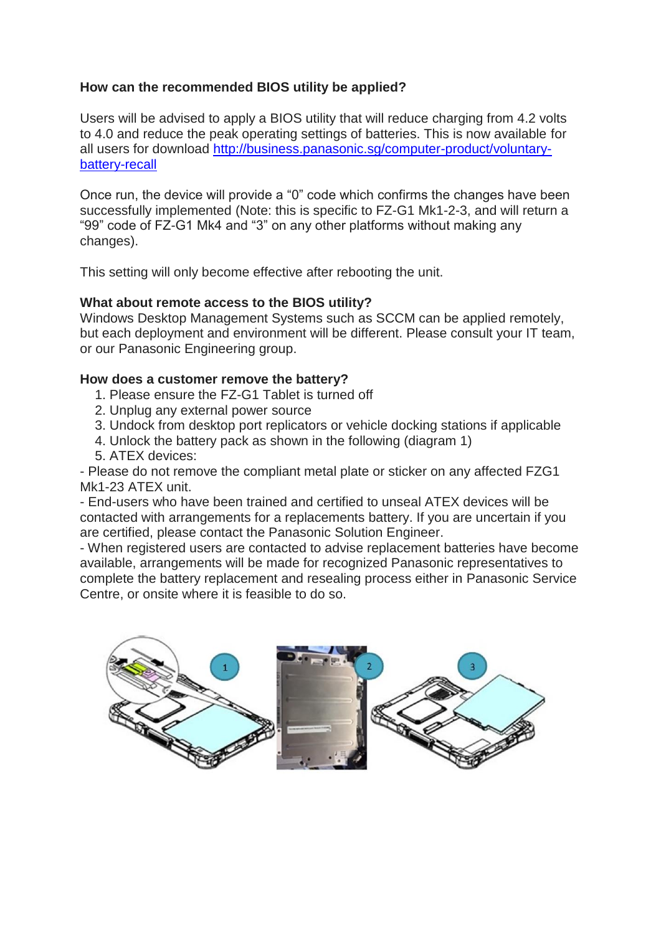# **How can the recommended BIOS utility be applied?**

Users will be advised to apply a BIOS utility that will reduce charging from 4.2 volts to 4.0 and reduce the peak operating settings of batteries. This is now available for all users for download [http://business.panasonic.sg/computer-product/voluntary](http://business.panasonic.sg/computer-product/voluntary-battery-recall)[battery-recall](http://business.panasonic.sg/computer-product/voluntary-battery-recall)

Once run, the device will provide a "0" code which confirms the changes have been successfully implemented (Note: this is specific to FZ-G1 Mk1-2-3, and will return a "99" code of FZ-G1 Mk4 and "3" on any other platforms without making any changes).

This setting will only become effective after rebooting the unit.

# **What about remote access to the BIOS utility?**

Windows Desktop Management Systems such as SCCM can be applied remotely, but each deployment and environment will be different. Please consult your IT team, or our Panasonic Engineering group.

# **How does a customer remove the battery?**

- 1. Please ensure the FZ-G1 Tablet is turned off
- 2. Unplug any external power source
- 3. Undock from desktop port replicators or vehicle docking stations if applicable
- 4. Unlock the battery pack as shown in the following (diagram 1)
- 5. ATEX devices:

- Please do not remove the compliant metal plate or sticker on any affected FZG1 Mk1-23 ATEX unit.

- End-users who have been trained and certified to unseal ATEX devices will be contacted with arrangements for a replacements battery. If you are uncertain if you are certified, please contact the Panasonic Solution Engineer.

- When registered users are contacted to advise replacement batteries have become available, arrangements will be made for recognized Panasonic representatives to complete the battery replacement and resealing process either in Panasonic Service Centre, or onsite where it is feasible to do so.